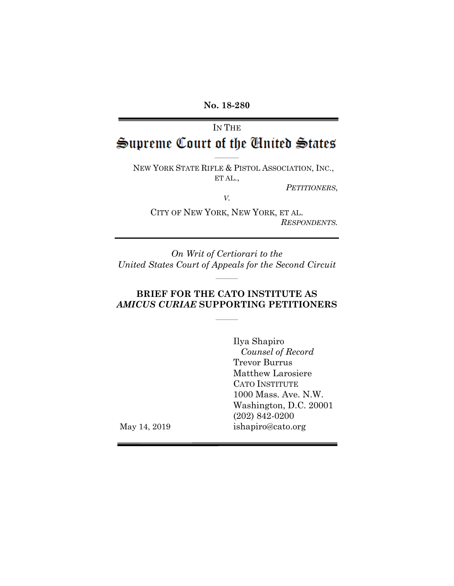**No. 18-280**

# IN THE Supreme Court of the Cinited States

 $\mathcal{L}=\mathcal{L}$ 

NEW YORK STATE RIFLE & PISTOL ASSOCIATION, INC., ET AL.,

*PETITIONERS*,

*V.*

CITY OF NEW YORK, NEW YORK, ET AL. *RESPONDENTS.*

*On Writ of Certiorari to the United States Court of Appeals for the Second Circuit*

 $\frac{1}{2}$ 

### **BRIEF FOR THE CATO INSTITUTE AS** *AMICUS CURIAE* **SUPPORTING PETITIONERS**

 $\frac{1}{2}$ 

Ilya Shapiro *Counsel of Record* Trevor Burrus Matthew Larosiere CATO INSTITUTE 1000 Mass. Ave. N.W. Washington, D.C. 20001 (202) 842-0200 ishapiro@cato.org

May 14, 2019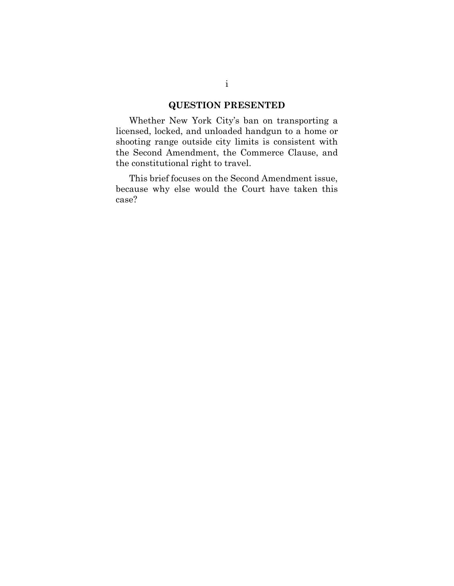### **QUESTION PRESENTED**

Whether New York City's ban on transporting a licensed, locked, and unloaded handgun to a home or shooting range outside city limits is consistent with the Second Amendment, the Commerce Clause, and the constitutional right to travel.

This brief focuses on the Second Amendment issue, because why else would the Court have taken this case?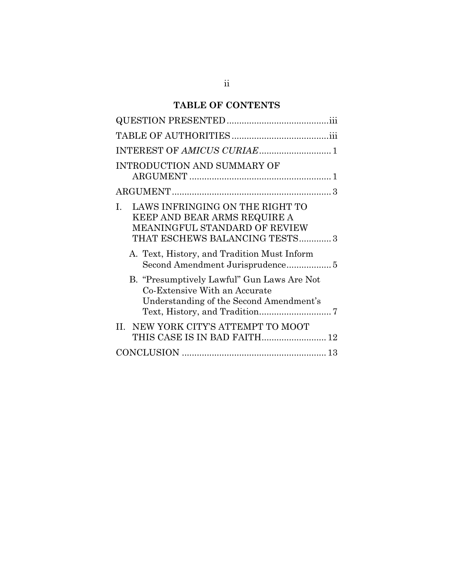# **TABLE OF CONTENTS**

| INTEREST OF AMICUS CURIAE 1                                                                                                             |
|-----------------------------------------------------------------------------------------------------------------------------------------|
| INTRODUCTION AND SUMMARY OF                                                                                                             |
|                                                                                                                                         |
| LAWS INFRINGING ON THE RIGHT TO<br>L<br>KEEP AND BEAR ARMS REQUIRE A<br>MEANINGFUL STANDARD OF REVIEW<br>THAT ESCHEWS BALANCING TESTS 3 |
| A. Text, History, and Tradition Must Inform                                                                                             |
| B. "Presumptively Lawful" Gun Laws Are Not<br>Co-Extensive With an Accurate<br>Understanding of the Second Amendment's                  |
| II. NEW YORK CITY'S ATTEMPT TO MOOT<br>THIS CASE IS IN BAD FAITH 12                                                                     |
|                                                                                                                                         |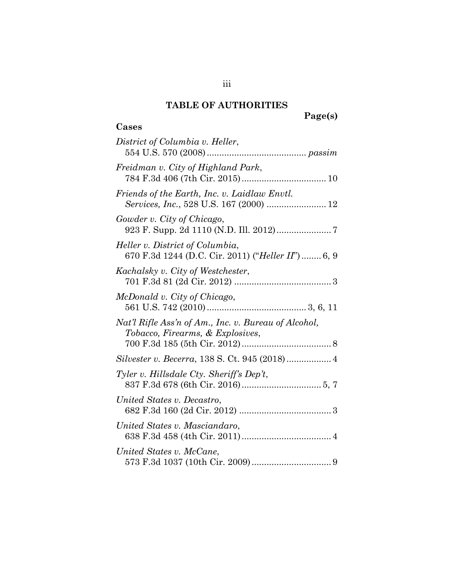# **TABLE OF AUTHORITIES**

<span id="page-3-0"></span>**Cases**

| District of Columbia v. Heller,                                                          |
|------------------------------------------------------------------------------------------|
| Freidman v. City of Highland Park,                                                       |
| Friends of the Earth, Inc. v. Laidlaw Envtl.<br>Services, Inc., 528 U.S. 167 (2000)  12  |
| Gowder v. City of Chicago,                                                               |
| Heller v. District of Columbia,<br>670 F.3d 1244 (D.C. Cir. 2011) ("Heller II")  6, 9    |
| Kachalsky v. City of Westchester,                                                        |
| McDonald v. City of Chicago,                                                             |
| Nat'l Rifle Ass'n of Am., Inc. v. Bureau of Alcohol,<br>Tobacco, Firearms, & Explosives, |
| Silvester v. Becerra, 138 S. Ct. 945 (2018) 4                                            |
| Tyler v. Hillsdale Cty. Sheriff's Dep't,                                                 |
| United States v. Decastro,                                                               |
| United States v. Masciandaro,                                                            |
| United States v. McCane,                                                                 |

iii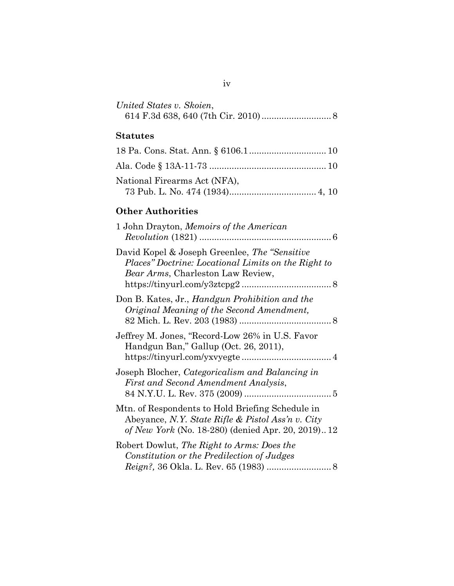| United States v. Skoien, |  |
|--------------------------|--|
|                          |  |

# **Statutes**

| National Firearms Act (NFA), |  |
|------------------------------|--|
|                              |  |

## **Other Authorities**

| 1 John Drayton, Memoirs of the American                                                                                                                    |  |
|------------------------------------------------------------------------------------------------------------------------------------------------------------|--|
| David Kopel & Joseph Greenlee, The "Sensitive"<br>Places" Doctrine: Locational Limits on the Right to<br><i>Bear Arms</i> , Charleston Law Review,         |  |
| Don B. Kates, Jr., <i>Handgun Prohibition and the</i><br>Original Meaning of the Second Amendment,                                                         |  |
| Jeffrey M. Jones, "Record-Low 26% in U.S. Favor<br>Handgun Ban," Gallup (Oct. 26, 2011),                                                                   |  |
| Joseph Blocher, Categoricalism and Balancing in<br>First and Second Amendment Analysis,                                                                    |  |
| Mtn. of Respondents to Hold Briefing Schedule in<br>Abeyance, N.Y. State Rifle & Pistol Ass'n v. City<br>of New York (No. 18-280) (denied Apr. 20, 2019)12 |  |
| Robert Dowlut, The Right to Arms: Does the<br>Constitution or the Predilection of Judges                                                                   |  |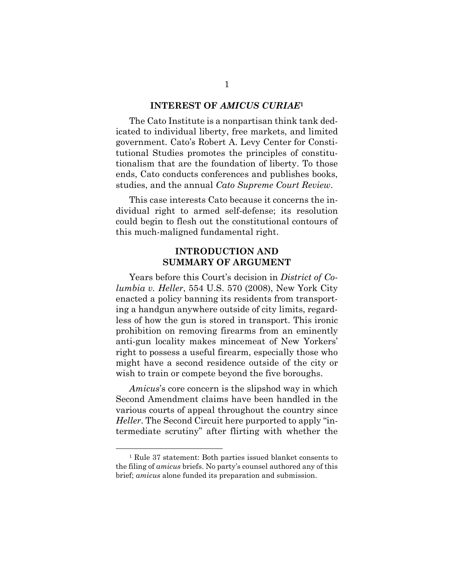#### **INTEREST OF** *AMICUS CURIAE***<sup>1</sup>**

<span id="page-5-0"></span>The Cato Institute is a nonpartisan think tank dedicated to individual liberty, free markets, and limited government. Cato's Robert A. Levy Center for Constitutional Studies promotes the principles of constitutionalism that are the foundation of liberty. To those ends, Cato conducts conferences and publishes books, studies, and the annual *Cato Supreme Court Review*.

This case interests Cato because it concerns the individual right to armed self-defense; its resolution could begin to flesh out the constitutional contours of this much-maligned fundamental right.

#### **INTRODUCTION AND SUMMARY OF ARGUMENT**

<span id="page-5-1"></span>Years before this Court's decision in *District of Columbia v. Heller*, 554 U.S. 570 (2008), New York City enacted a policy banning its residents from transporting a handgun anywhere outside of city limits, regardless of how the gun is stored in transport. This ironic prohibition on removing firearms from an eminently anti-gun locality makes mincemeat of New Yorkers' right to possess a useful firearm, especially those who might have a second residence outside of the city or wish to train or compete beyond the five boroughs.

*Amicus*'s core concern is the slipshod way in which Second Amendment claims have been handled in the various courts of appeal throughout the country since *Heller*. The Second Circuit here purported to apply "intermediate scrutiny" after flirting with whether the

<sup>1</sup> Rule 37 statement: Both parties issued blanket consents to the filing of *amicus* briefs. No party's counsel authored any of this brief; *amicus* alone funded its preparation and submission.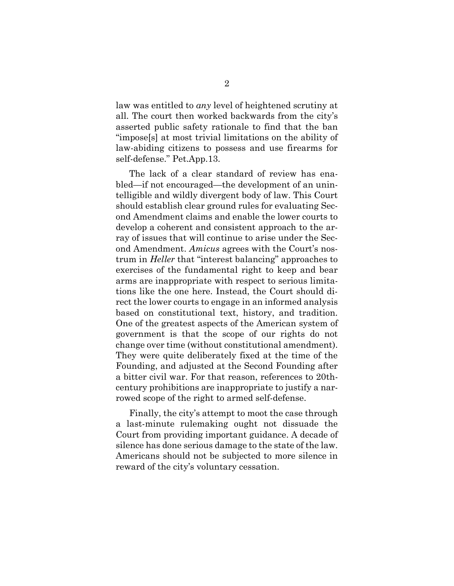law was entitled to *any* level of heightened scrutiny at all. The court then worked backwards from the city's asserted public safety rationale to find that the ban "impose[s] at most trivial limitations on the ability of law-abiding citizens to possess and use firearms for self-defense." Pet.App.13.

The lack of a clear standard of review has enabled—if not encouraged—the development of an unintelligible and wildly divergent body of law. This Court should establish clear ground rules for evaluating Second Amendment claims and enable the lower courts to develop a coherent and consistent approach to the array of issues that will continue to arise under the Second Amendment. *Amicus* agrees with the Court's nostrum in *Heller* that "interest balancing" approaches to exercises of the fundamental right to keep and bear arms are inappropriate with respect to serious limitations like the one here. Instead, the Court should direct the lower courts to engage in an informed analysis based on constitutional text, history, and tradition. One of the greatest aspects of the American system of government is that the scope of our rights do not change over time (without constitutional amendment). They were quite deliberately fixed at the time of the Founding, and adjusted at the Second Founding after a bitter civil war. For that reason, references to 20thcentury prohibitions are inappropriate to justify a narrowed scope of the right to armed self-defense.

Finally, the city's attempt to moot the case through a last-minute rulemaking ought not dissuade the Court from providing important guidance. A decade of silence has done serious damage to the state of the law. Americans should not be subjected to more silence in reward of the city's voluntary cessation.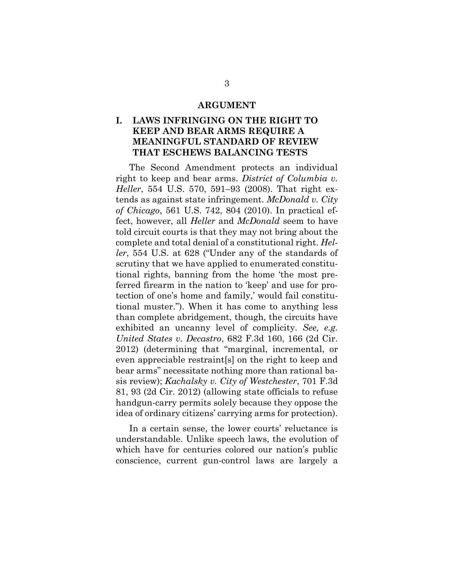#### **ARGUMENT**

#### <span id="page-7-1"></span><span id="page-7-0"></span>**I. LAWS INFRINGING ON THE RIGHT TO KEEP AND BEAR ARMS REQUIRE A MEANINGFUL STANDARD OF REVIEW THAT ESCHEWS BALANCING TESTS**

The Second Amendment protects an individual right to keep and bear arms. *District of Columbia v. Heller*, 554 U.S. 570, 591–93 (2008). That right extends as against state infringement. *McDonald v. City of Chicago*, 561 U.S. 742, 804 (2010). In practical effect, however, all *Heller* and *McDonald* seem to have told circuit courts is that they may not bring about the complete and total denial of a constitutional right. *Heller*, 554 U.S. at 628 ("Under any of the standards of scrutiny that we have applied to enumerated constitutional rights, banning from the home 'the most preferred firearm in the nation to 'keep' and use for protection of one's home and family,' would fail constitutional muster."). When it has come to anything less than complete abridgement, though, the circuits have exhibited an uncanny level of complicity. *See, e.g. United States v. Decastro*, 682 F.3d 160, 166 (2d Cir. 2012) (determining that "marginal, incremental, or even appreciable restraint[s] on the right to keep and bear arms" necessitate nothing more than rational basis review); *Kachalsky v. City of Westchester*, 701 F.3d 81, 93 (2d Cir. 2012) (allowing state officials to refuse handgun-carry permits solely because they oppose the idea of ordinary citizens' carrying arms for protection).

In a certain sense, the lower courts' reluctance is understandable. Unlike speech laws, the evolution of which have for centuries colored our nation's public conscience, current gun-control laws are largely a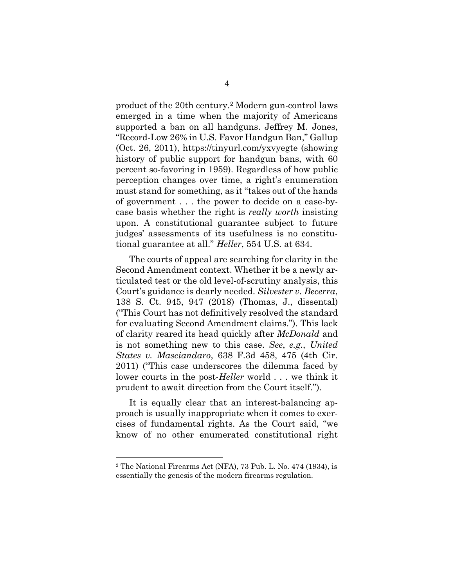product of the 20th century.<sup>2</sup> Modern gun-control laws emerged in a time when the majority of Americans supported a ban on all handguns. Jeffrey M. Jones, "Record-Low 26% in U.S. Favor Handgun Ban," Gallup (Oct. 26, 2011), https://tinyurl.com/yxvyegte (showing history of public support for handgun bans, with 60 percent so-favoring in 1959). Regardless of how public perception changes over time, a right's enumeration must stand for something, as it "takes out of the hands of government . . . the power to decide on a case-bycase basis whether the right is *really worth* insisting upon. A constitutional guarantee subject to future judges' assessments of its usefulness is no constitutional guarantee at all." *Heller*, 554 U.S. at 634.

The courts of appeal are searching for clarity in the Second Amendment context. Whether it be a newly articulated test or the old level-of-scrutiny analysis, this Court's guidance is dearly needed. *Silvester v. Becerra*, 138 S. Ct. 945, 947 (2018) (Thomas, J., dissental) ("This Court has not definitively resolved the standard for evaluating Second Amendment claims."). This lack of clarity reared its head quickly after *McDonald* and is not something new to this case. *See*, *e.g.*, *United States v. Masciandaro*, 638 F.3d 458, 475 (4th Cir. 2011) ("This case underscores the dilemma faced by lower courts in the post-*Heller* world . . . we think it prudent to await direction from the Court itself.").

It is equally clear that an interest-balancing approach is usually inappropriate when it comes to exercises of fundamental rights. As the Court said, "we know of no other enumerated constitutional right

<sup>2</sup> The National Firearms Act (NFA), 73 Pub. L. No. 474 (1934), is essentially the genesis of the modern firearms regulation.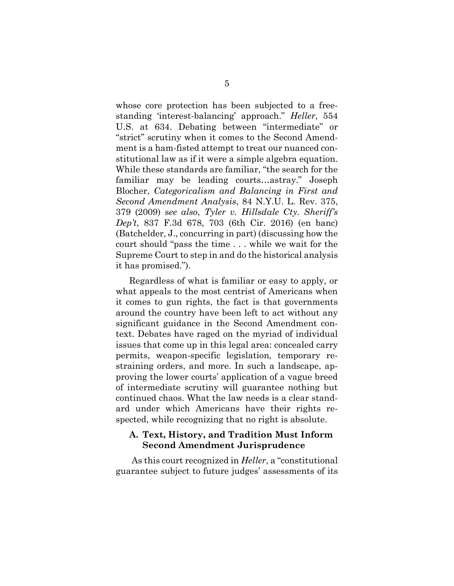whose core protection has been subjected to a freestanding 'interest-balancing' approach." *Heller*, 554 U.S. at 634. Debating between "intermediate" or "strict" scrutiny when it comes to the Second Amendment is a ham-fisted attempt to treat our nuanced constitutional law as if it were a simple algebra equation. While these standards are familiar, "the search for the familiar may be leading courts…astray." Joseph Blocher, *Categoricalism and Balancing in First and Second Amendment Analysis*, 84 N.Y.U. L. Rev. 375, 379 (2009) s*ee also*, *Tyler v. Hillsdale Cty. Sheriff's Dep't*, 837 F.3d 678, 703 (6th Cir. 2016) (en banc) (Batchelder, J., concurring in part) (discussing how the court should "pass the time . . . while we wait for the Supreme Court to step in and do the historical analysis it has promised.").

Regardless of what is familiar or easy to apply, or what appeals to the most centrist of Americans when it comes to gun rights, the fact is that governments around the country have been left to act without any significant guidance in the Second Amendment context. Debates have raged on the myriad of individual issues that come up in this legal area: concealed carry permits, weapon-specific legislation, temporary restraining orders, and more. In such a landscape, approving the lower courts' application of a vague breed of intermediate scrutiny will guarantee nothing but continued chaos. What the law needs is a clear standard under which Americans have their rights respected, while recognizing that no right is absolute.

#### <span id="page-9-0"></span>**A. Text, History, and Tradition Must Inform Second Amendment Jurisprudence**

As this court recognized in *Heller*, a "constitutional guarantee subject to future judges' assessments of its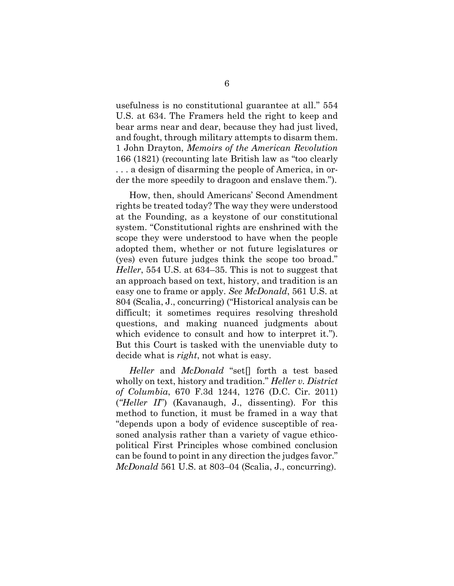usefulness is no constitutional guarantee at all." 554 U.S. at 634. The Framers held the right to keep and bear arms near and dear, because they had just lived, and fought, through military attempts to disarm them. 1 John Drayton, *Memoirs of the American Revolution*  166 (1821) (recounting late British law as "too clearly . . . a design of disarming the people of America, in order the more speedily to dragoon and enslave them.").

How, then, should Americans' Second Amendment rights be treated today? The way they were understood at the Founding, as a keystone of our constitutional system. "Constitutional rights are enshrined with the scope they were understood to have when the people adopted them, whether or not future legislatures or (yes) even future judges think the scope too broad." *Heller*, 554 U.S. at 634–35. This is not to suggest that an approach based on text, history, and tradition is an easy one to frame or apply. *See McDonald*, 561 U.S. at 804 (Scalia, J., concurring) ("Historical analysis can be difficult; it sometimes requires resolving threshold questions, and making nuanced judgments about which evidence to consult and how to interpret it."). But this Court is tasked with the unenviable duty to decide what is *right*, not what is easy.

*Heller* and *McDonald* "set[] forth a test based wholly on text, history and tradition." *Heller v. District of Columbia*, 670 F.3d 1244, 1276 (D.C. Cir. 2011) (*"Heller II*") (Kavanaugh, J., dissenting). For this method to function, it must be framed in a way that "depends upon a body of evidence susceptible of reasoned analysis rather than a variety of vague ethicopolitical First Principles whose combined conclusion can be found to point in any direction the judges favor." *McDonald* 561 U.S. at 803–04 (Scalia, J., concurring).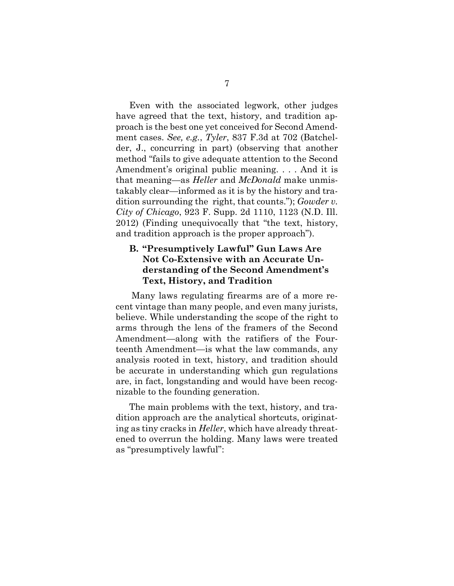Even with the associated legwork, other judges have agreed that the text, history, and tradition approach is the best one yet conceived for Second Amendment cases. *See, e.g.*, *Tyler*, 837 F.3d at 702 (Batchelder, J., concurring in part) (observing that another method "fails to give adequate attention to the Second Amendment's original public meaning. . . . And it is that meaning—as *Heller* and *McDonald* make unmistakably clear—informed as it is by the history and tradition surrounding the right, that counts."); *Gowder v. City of Chicago*, 923 F. Supp. 2d 1110, 1123 (N.D. Ill. 2012) (Finding unequivocally that "the text, history, and tradition approach is the proper approach").

#### <span id="page-11-0"></span>**B. "Presumptively Lawful" Gun Laws Are Not Co-Extensive with an Accurate Understanding of the Second Amendment's Text, History, and Tradition**

Many laws regulating firearms are of a more recent vintage than many people, and even many jurists, believe. While understanding the scope of the right to arms through the lens of the framers of the Second Amendment—along with the ratifiers of the Fourteenth Amendment—is what the law commands, any analysis rooted in text, history, and tradition should be accurate in understanding which gun regulations are, in fact, longstanding and would have been recognizable to the founding generation.

The main problems with the text, history, and tradition approach are the analytical shortcuts, originating as tiny cracks in *Heller*, which have already threatened to overrun the holding. Many laws were treated as "presumptively lawful":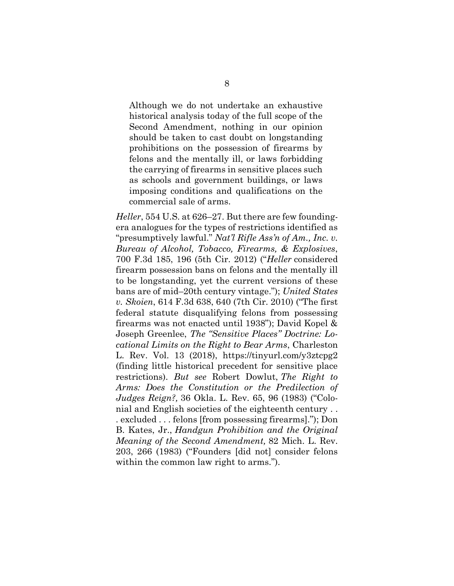Although we do not undertake an exhaustive historical analysis today of the full scope of the Second Amendment, nothing in our opinion should be taken to cast doubt on longstanding prohibitions on the possession of firearms by felons and the mentally ill, or laws forbidding the carrying of firearms in sensitive places such as schools and government buildings, or laws imposing conditions and qualifications on the commercial sale of arms.

*Heller*, 554 U.S. at 626–27. But there are few foundingera analogues for the types of restrictions identified as "presumptively lawful." *Nat'l Rifle Ass'n of Am., Inc. v. Bureau of Alcohol, Tobacco, Firearms, & Explosives*, 700 F.3d 185, 196 (5th Cir. 2012) ("*Heller* considered firearm possession bans on felons and the mentally ill to be longstanding, yet the current versions of these bans are of mid–20th century vintage."); *United States v. Skoien*, 614 F.3d 638, 640 (7th Cir. 2010) ("The first federal statute disqualifying felons from possessing firearms was not enacted until 1938"); David Kopel & Joseph Greenlee, *The "Sensitive Places" Doctrine: Locational Limits on the Right to Bear Arms*, Charleston L. Rev. Vol. 13 (2018), https://tinyurl.com/y3ztcpg2 (finding little historical precedent for sensitive place restrictions). *But see* Robert Dowlut, *The Right to Arms: Does the Constitution or the Predilection of Judges Reign?,* 36 Okla. L. Rev. 65, 96 (1983) ("Colonial and English societies of the eighteenth century . . . excluded . . . felons [from possessing firearms]."); Don B. Kates, Jr., *Handgun Prohibition and the Original Meaning of the Second Amendment,* 82 Mich. L. Rev. 203, 266 (1983) ("Founders [did not] consider felons within the common law right to arms.").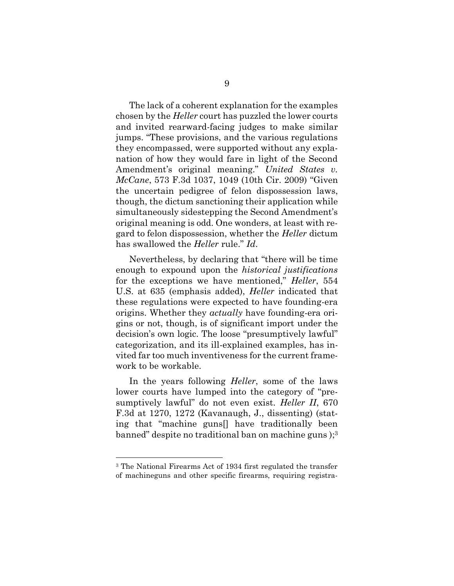The lack of a coherent explanation for the examples chosen by the *Heller* court has puzzled the lower courts and invited rearward-facing judges to make similar jumps. "These provisions, and the various regulations they encompassed, were supported without any explanation of how they would fare in light of the Second Amendment's original meaning." *United States v. McCane*, 573 F.3d 1037, 1049 (10th Cir. 2009) "Given the uncertain pedigree of felon dispossession laws, though, the dictum sanctioning their application while simultaneously sidestepping the Second Amendment's original meaning is odd. One wonders, at least with regard to felon dispossession, whether the *Heller* dictum has swallowed the *Heller* rule." *Id*.

Nevertheless, by declaring that "there will be time enough to expound upon the *historical justifications* for the exceptions we have mentioned," *Heller*, 554 U.S. at 635 (emphasis added), *Heller* indicated that these regulations were expected to have founding-era origins. Whether they *actually* have founding-era origins or not, though, is of significant import under the decision's own logic. The loose "presumptively lawful" categorization, and its ill-explained examples, has invited far too much inventiveness for the current framework to be workable.

In the years following *Heller*, some of the laws lower courts have lumped into the category of "presumptively lawful" do not even exist. *Heller II*, 670 F.3d at 1270, 1272 (Kavanaugh, J., dissenting) (stating that "machine guns[] have traditionally been banned" despite no traditional ban on machine guns ); 3

<sup>3</sup> The National Firearms Act of 1934 first regulated the transfer of machineguns and other specific firearms, requiring registra-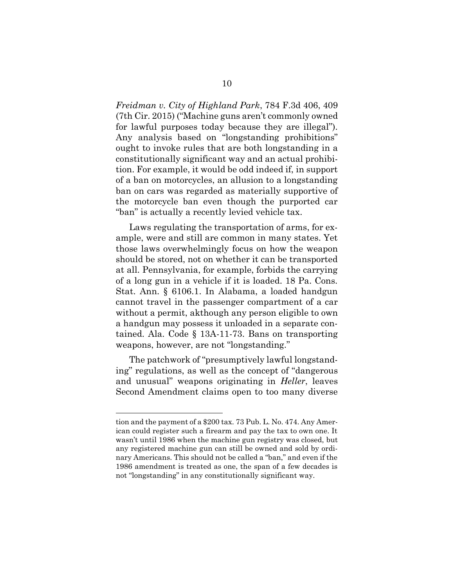*Freidman v. City of Highland Park*, 784 F.3d 406, 409 (7th Cir. 2015) ("Machine guns aren't commonly owned for lawful purposes today because they are illegal"). Any analysis based on "longstanding prohibitions" ought to invoke rules that are both longstanding in a constitutionally significant way and an actual prohibition. For example, it would be odd indeed if, in support of a ban on motorcycles, an allusion to a longstanding ban on cars was regarded as materially supportive of the motorcycle ban even though the purported car "ban" is actually a recently levied vehicle tax.

Laws regulating the transportation of arms, for example, were and still are common in many states. Yet those laws overwhelmingly focus on how the weapon should be stored, not on whether it can be transported at all. Pennsylvania, for example, forbids the carrying of a long gun in a vehicle if it is loaded. 18 Pa. Cons. Stat. Ann. § 6106.1. In Alabama, a loaded handgun cannot travel in the passenger compartment of a car without a permit, akthough any person eligible to own a handgun may possess it unloaded in a separate contained. Ala. Code § 13A-11-73. Bans on transporting weapons, however, are not "longstanding."

The patchwork of "presumptively lawful longstanding" regulations, as well as the concept of "dangerous and unusual" weapons originating in *Heller*, leaves Second Amendment claims open to too many diverse

tion and the payment of a \$200 tax. 73 Pub. L. No. 474. Any American could register such a firearm and pay the tax to own one. It wasn't until 1986 when the machine gun registry was closed, but any registered machine gun can still be owned and sold by ordinary Americans. This should not be called a "ban," and even if the 1986 amendment is treated as one, the span of a few decades is not "longstanding" in any constitutionally significant way.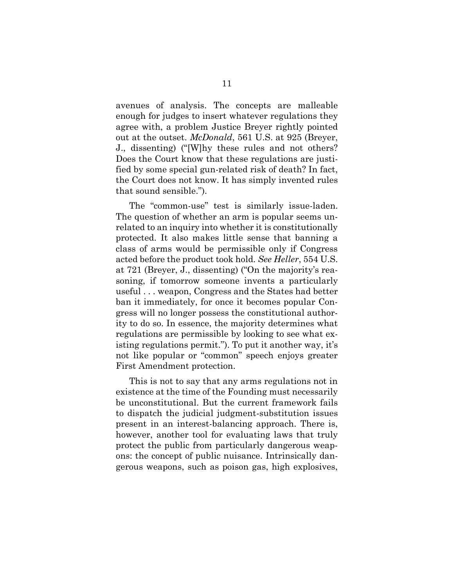avenues of analysis. The concepts are malleable enough for judges to insert whatever regulations they agree with, a problem Justice Breyer rightly pointed out at the outset. *McDonald*, 561 U.S. at 925 (Breyer, J., dissenting) ("[W]hy these rules and not others? Does the Court know that these regulations are justified by some special gun-related risk of death? In fact, the Court does not know. It has simply invented rules that sound sensible.").

The "common-use" test is similarly issue-laden. The question of whether an arm is popular seems unrelated to an inquiry into whether it is constitutionally protected. It also makes little sense that banning a class of arms would be permissible only if Congress acted before the product took hold. *See Heller*, 554 U.S. at 721 (Breyer, J., dissenting) ("On the majority's reasoning, if tomorrow someone invents a particularly useful . . . weapon, Congress and the States had better ban it immediately, for once it becomes popular Congress will no longer possess the constitutional authority to do so. In essence, the majority determines what regulations are permissible by looking to see what existing regulations permit."). To put it another way, it's not like popular or "common" speech enjoys greater First Amendment protection.

This is not to say that any arms regulations not in existence at the time of the Founding must necessarily be unconstitutional. But the current framework fails to dispatch the judicial judgment-substitution issues present in an interest-balancing approach. There is, however, another tool for evaluating laws that truly protect the public from particularly dangerous weapons: the concept of public nuisance. Intrinsically dangerous weapons, such as poison gas, high explosives,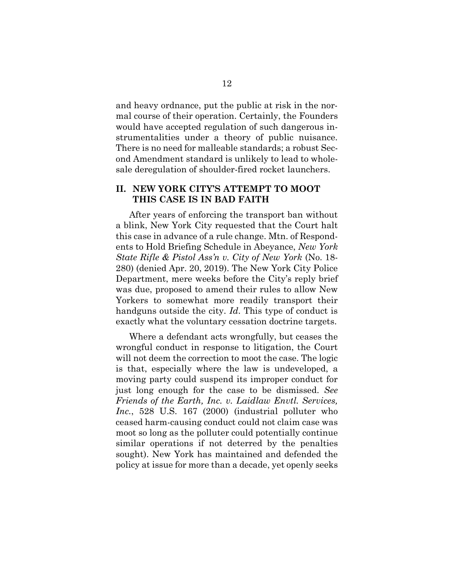and heavy ordnance, put the public at risk in the normal course of their operation. Certainly, the Founders would have accepted regulation of such dangerous instrumentalities under a theory of public nuisance. There is no need for malleable standards; a robust Second Amendment standard is unlikely to lead to wholesale deregulation of shoulder-fired rocket launchers.

#### <span id="page-16-0"></span>**II. NEW YORK CITY'S ATTEMPT TO MOOT THIS CASE IS IN BAD FAITH**

After years of enforcing the transport ban without a blink, New York City requested that the Court halt this case in advance of a rule change. Mtn. of Respondents to Hold Briefing Schedule in Abeyance, *New York State Rifle & Pistol Ass'n v. City of New York* (No. 18- 280) (denied Apr. 20, 2019). The New York City Police Department, mere weeks before the City's reply brief was due, proposed to amend their rules to allow New Yorkers to somewhat more readily transport their handguns outside the city. *Id*. This type of conduct is exactly what the voluntary cessation doctrine targets.

Where a defendant acts wrongfully, but ceases the wrongful conduct in response to litigation, the Court will not deem the correction to moot the case. The logic is that, especially where the law is undeveloped, a moving party could suspend its improper conduct for just long enough for the case to be dismissed. *See Friends of the Earth, Inc. v. Laidlaw Envtl. Services, Inc.*, 528 U.S. 167 (2000) (industrial polluter who ceased harm-causing conduct could not claim case was moot so long as the polluter could potentially continue similar operations if not deterred by the penalties sought). New York has maintained and defended the policy at issue for more than a decade, yet openly seeks